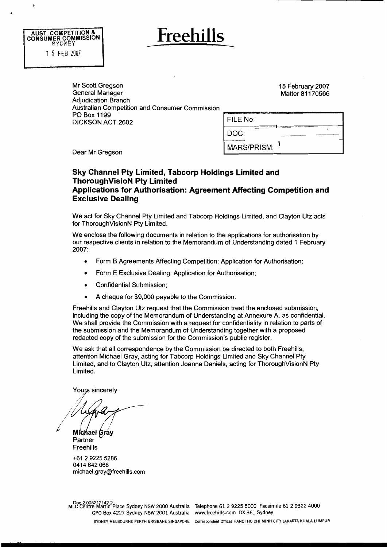

# **Freehills**

Mr Scott Gregson General Manager Adjudication Branch Australian Competition and Consumer Commission PO Box **1 199**  DICKSON ACT **2602** 

**15** February **2007**  Matter **81 170566** 

| FILE No:           |  |
|--------------------|--|
| DOC:               |  |
| <b>MARS/PRISM:</b> |  |

Dear Mr Gregson

# **Sky Channel Pty Limited, Tabcorp Holdings Limited and ThoroughVisioN Pty Limited Applications for Authorisation: Agreement Affecting Competition and Exclusive Dealing**

We act for Sky Channel Pty Limited and Tabcorp Holdings Limited, and Clayton Utz acts for ThoroughVisionN Pty Limited.

We enclose the following documents in relation to the applications for authorisation by our respective clients in relation to the Memorandum of Understanding dated 1 February **2007:** 

- Form B Agreements Affecting Competition: Application for Authorisation;  $\bullet$
- $\bullet$ Form E Exclusive Dealing: Application for Authorisation;
- Confidential Submission;
- A cheque for **\$9,000** payable to the Commission.  $\bullet$

Freehills and Clayton Utz request that the Commission treat the enclosed submission, including the copy of the Memorandum of Understanding at Annexure A, as confidential. We shall provide the Commission with a request for confidentiality in relation to parts of the submission and the Memorandum of Understanding together with a proposed redacted copy of the submission for the Commission's public register.

We ask that all correspondence by the Commission be directed to both Freehills, attention Michael Gray, acting for Tabcorp Holdings Limited and Sky Channel Pty Limited, and to Clayton Utz, attention Joanne Daniels, acting for ThoroughVisionN Pty Limited.

Yours sincerely

**Michael Gray**<br>Partner Freehills

+61 2 9225 5286 0414 642 068 michael.gray@freehills.com

D 2.00521 **142** 2 tentre re dartlri Place Sydney **NSW** 2000 Australia Telephone **61** 2 9225 5000 Facsimile **61** 2 9322 4000 GPO Box 4227 Sydney **NSW** 2001 Australia www.freehills.com DX **361** Sydney

SYDNEY MELBOURNE PERTH BRISBANE SINGAPORE Correspondent Offices HANOI HO CHI MlNH CITY JAKARTA KUALA LUMPUR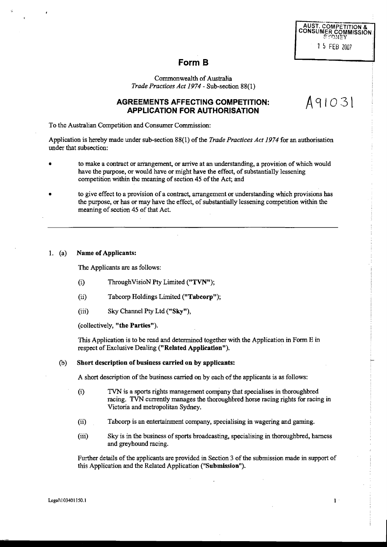|  | SYDNEY       | <b>AUST. COMPETITION &amp;</b><br><b>CONSUMER COMMISSION</b> |
|--|--------------|--------------------------------------------------------------|
|  | 1 5 FEB 2007 |                                                              |

As1031

# **Form B**

Commonwealth of Australia *Trade Practices Act 1974* - Sub-section 88(1)

# **AGREEMENTS AFFECTING COMPETITION: APPLICATION FOR AUTHORISATION**

To the Australian Competition and Consumer Commission:

Application is hereby made under sub-section 88(1) of the *Trade Practices* Act *1974* for an authorisation under that subsection:

- to make a contract or arrangement, **or** arrive at an understanding, a provision of which would have the purpose, or would have or might have the effect, of substantially lessening competition within the meaning of section 45 of the Act; and
- to give effect to a provision of a contract, arrangement or mderstanding which provisions has the purpose, or has or may have the effect, of substantially lessening competition within the meaning of section 45 of that Act.

# 1. (a) **Name** of Applicants:

The Applicants are **as** follows:

- (9 ThroughVisioN **Pty** Limited ("TVNv');
- (ii) Tabcorp Holdings Limited ("Tabcorp");
- (iii) Sky Channel Pty Ltd  $("Sky")$ ,

(collectively, "the Parties").

This Application is to be read and determined together with the Application in Form E in respect of Exclusive Dealing ("Related Application").

# (b) Short description of business carried on by applicants:

A short description of the business carried on by each of the applicants is as follows:

- (0 **TVN** is a sports rights management company that specialises in thoroughbred racing. **TVN** currently manages the thoroughbred horse racing rights for racing in Victoria and metropolitan Sydney.
- (ii) Tabcorp is an entertainment company, specialising in wagering and gaming.
- (iii) Sky is in the business of sports broadcasting, specialising in thoroughbred, harness and greyhound racing.

Further details of the applicants are provided in Section 3 of the submission made in support of this Application and the Related Application ("Submission").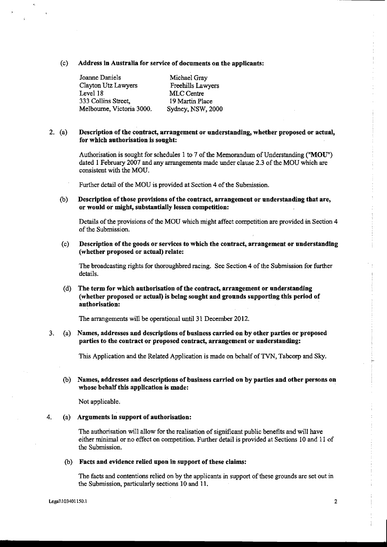# (c) Address in Australia for service of documents on the applicants:

Joanne Daniels Michael Gray Clayton Utz Lawyers Freehills **Lawyers**  Level 18 MLC Centre 333 Collins Street, 19 **Martin** Place Melbourne, Victoria 3000. Sydney, NSW, 2000

# **2.** (a) Description of the contract, arrangement or understanding, whether proposed or actual, for which authorisation is sought:

Authorisation is sought for schedules 1 to 7 of the Memorandum of Understanding ("MOU") dated 1 February 2007 and any arrangements made under clause 2.3 of the MOU which are consistent with the MOU.

Further detail of the MOU is provided at Section 4 of the Submission.

(b) Description of those provisions of the contract, arrangement or understanding that are, or would or might, substantially lessen competition:

Details of the provisions of the MOU which might affect competition are provided in Section 4 of the Submission.

(c) Description of the goods or services to which the contract, arrangement or understanding (whether proposed or actual) relate:

The broadcasting **rights** for thoroughbred racing. See Section 4 of the Submission for furlher details.

(d) The term for which authorisation of the contract, arrangement or understanding (whether proposed or actual) is being sought and grounds supporting this period of authorisation:

The arrangements will be operational until 31 December 2012.

# 3. (a) Names, addresses and descriptions of business carried on by other parties or proposed parties to the contract or proposed contract, arrangement or understanding:

This Application and the Related Application is made on behalf of **TVN,** Tabcorp and Sky.

(b) Names, addresses and descriptions of business carried on by parties and other persons on whose behalf this application is made:

Not applicable.

# $4.$  (a) Arguments in support of authorisation:

The authorisation will allow for the realisation of significant public benefits and will have either minimal or no effect on competition. Further detail is provided at Sections 10 and 11 of the Submission.

### (b) Facts and evidence relied upon in support of these claims:

The facts and contentions relied on by the applicants in support of these grounds are set out in the Submission, particularly sections 10 and 11.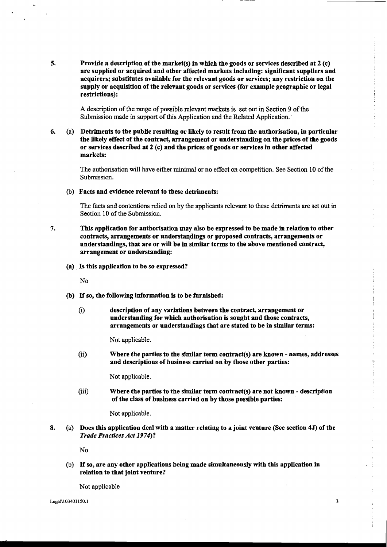$\overline{5}$ . Provide a description of the market(s) in which the goods or services described at  $2$  (c) are supplied or acquired and other affected markets including: significant suppliers and acquirers; substitutes available for the relevant goods or services; any restriction on the supply or acquisition of the relevant goods or services (for example geographic or legal restrictions):

> A description of the range of possible relevant markets is set out in Section 9 of the Submission made in support of this Application and the Related Application.

**6.** (a) Detriments to the public resulting or likely to result from the authorisation, in particular the likely effect of the contract, arrangement or understanding on the prices of the goods or services described at 2 (c) and the prices of goods or services in other affected markets:

> The authorisation will have either minimal or no effect on competition. See Section 10 of the Submission.

(b) Facts and evidence relevant to these detriments:

The facts and contentions relied on by the applicants relevant to these detriments are set out in Section 10 of the Submission.

- $7.$ This application for authorisation may also be expressed to be made in relation to other contracts, arrangements or understandings or proposed contracts, arrangements or understandings, that are or will be in similar terms to the above mentioned contract, arrangement or understanding:
	- (a) Is this application to be so expressed?

N<sub>0</sub>

- (b) If so, the following information is to be furnished:
	- (1) description of any variations between the contract, arrangement or understanding for which authorisation **is** sought and those contracts, arrangements or understandings that are stated to be in similar terms:

Not applicable.

(ii) Where the parties to the similar term contract(s) are known - names, addresses and descriptions of business carried on by those other parties:

Not applicable.

 $(iii)$  Where the parties to the similar term contract(s) are not known - description of the class of business carried on by those possible parties:

Not applicable.

**8.** (a) Does this application deal with a matter relating to a joint venture (See section **45)** of the Trade Practices Act **19 74?** 

No

@) If so, are any other applications being made simultaneously with this application in relation to that joint ventare?

 $\overline{\mathbf{3}}$ 

Not applicable

Legal\103401150.1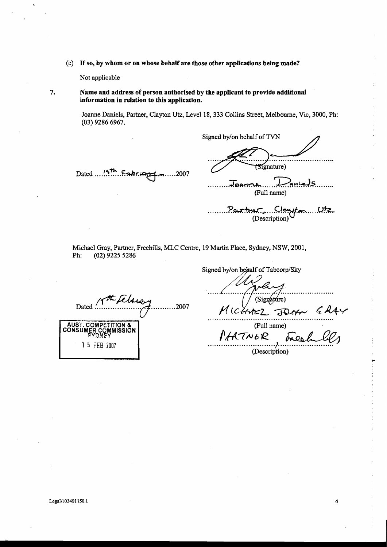(c) **If so, by whom or on whose behalf are those other applications being made?** 

Not applicable

- 
- **7. Name and address of person anthorised by the applicant to provide additional information in relation to this application.**

Joanne Daniels, Partner, Clayton Utz, Level 18,333 Collins Street, Melbourne, Vic, 3000, Ph: **(03)** 9286 6967.

Signed by/on behalf of TVN . . . . . . . . . . Signature) Dated ... **.<sup>157</sup>. ... ... ... ...** ... .2007 ........ .;r,,. .... *D9,i&* ........ **(Full** name) 2 m miller)<br>Pasthyr, Clempton Utz<br>Description)

Michael Gray, **Partner,** Freehills, MLC Centre, 19 Martin Place, Sydney, NSW, 200 1, Ph: (02) 9225 5286

Dated Christ Technical AUST. COMPETITION &<br>CONSUMER COMMISSION 1 5 FEB 2007

Signed by/on behalf of Tabcorp/Sky (Signature) MICHAEL FOLAN  $6244$ (Full name)

PARTNOR (Description)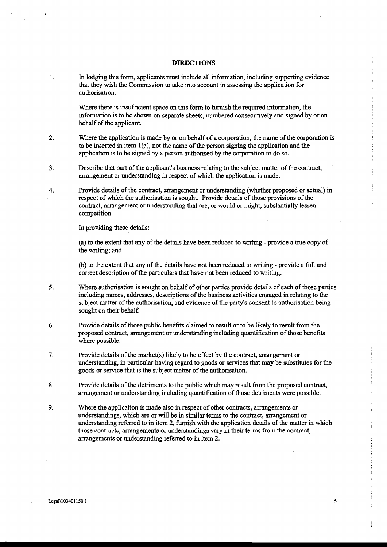# **DIRECTIONS**

 $\mathbf{1}$ . In lodging this form, applicants must include all information, including supporting evidence that they wish the Commission to take into account in assessing the application for authorisation.

> Where there is insufficient space on this form to furnish the required information, the information is to be shown on separate sheets, numbered consecutively and signed by or on behalf of the applicant.

- $2.$ Where the application is made by or on behalf of a corporation, the name of the corporation is to be inserted in item  $1(a)$ , not the name of the person signing the application and the application is to be signed by a person authorised by the corporation to do so.
- 3. Describe that part of the applicant's business relating to the subject matter of the contract, arrangement or understanding in respect of which the application is made.
- Provide details of the contract, airangement or understanding (whether proposed or actual) in 4. respect of which the authorisation is sought. Provide details of those provisions of the contract, arrangement or understanding that are, or would or might, substantially lessen competition.

In providing these details:

fa) to the extent that any of the details have been reduced to writing - provide a true copy of the writing; and

(b) to the extent that any of the details have not been reduced to writing - provide a full and correct description of the particulars that have not been reduced to writing.

- $5<sub>1</sub>$ Where authorisation is sought on behalf of other parties provide details of each of those parties including names, addresses, descriptions of the business activities engaged in relating to the subject matter of the authorisation, and evidence of the party's consent to authorisation being sought on their behalf.
- 6. Provide details of those public benefits claimed to result or to be likely to result from the proposed contract, arrangement or understanding including quantification of those benefits where possible.
- $7.$ Provide details of the market(s) likely to be effect by the contract, arrangement or understanding, in particular having regard to goods or services that may be substitutes for the goods **or** service that is the subject matter of the authorisation.
- 8. Provide details of the detriments to the public which may result from the proposed contract, arrangement **or** understanding including quantification of those detriments were possible.
- 9. Where the application is made also in respect of other contracts, arrangements or understandings, which are or will be in similar terms to the contract, arrangement or understanding referred to in item **2,** furnish with the application details of the **matter** in which those contracts, arrangements or understandings vary in their terms from the contract, arrangements or understanding referred to in item **2.**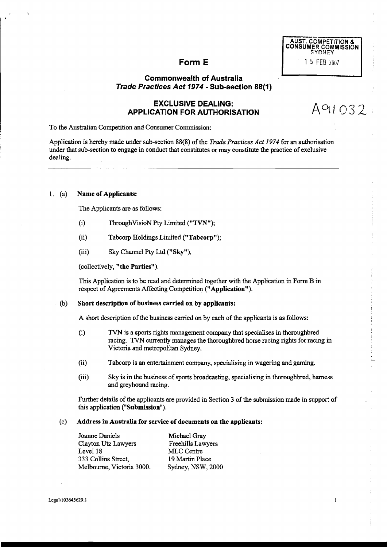| <b>AUST. COMPETITION &amp;</b><br><b>CONSUMER COMMISSION</b><br><b>SYDNEY</b> |  |              |  |  |  |  |
|-------------------------------------------------------------------------------|--|--------------|--|--|--|--|
|                                                                               |  | 1 5 FEB 2007 |  |  |  |  |

# Form E

# **Commonwealth of Australia Trade Practices Act 1974** - **Sub-section 88(1)**

# **EXCLUSIVE DEALING: APPLICATION FOR AUTHORISATION**

A91032

To the Australian Competition and Consumer Commission:

Application is hereby made under sub-section 88(8) of the *Trade Practices Act 1974* for *an* authorisation under that sub-section to engage in conduct that constitutes or may constitute the practice of exclusive dealing.

# 1. (a) Name **of** Applicants:

The Applicants are as follows:

- (i) ThroughVisioN Pty Limited ("TVN");
- (ii) Tabcorp Holdings Limited ("Tabcorp");
- (iii) **Sky** Channel Pty Ltd **("Sky"),**

(collectively, "the Parties").

This Application is to be read and determined together with the Application in Form B in respect of Agreements Affecting Competition ("Application").

# (b) S'nort description **of** business carried **on** by applicants:

A short description of the business carried on by each of the applicants is as follows:

- **(9** TVN is a sports rights management company that specialises in thoroughbred racing. **TVN** currently manages the thoroughbred horse racing rights for racing in Victoria and metropolitan Sydney.
- (ii) Tabcorp is **an** entertainment company, specialising in wagering and gaming.
- (iii) **Sky** is in the business of sports broadcasting, specialising in thoroughbred, harness and greyhound racing.

Further details of the applicants are provided in Section 3 of the submission made in support of this application ("Submission").

#### (c) Address in Australia for service of documents on the applicants:

Joanne Daniels Michael Gray<br>Clayton Utz Lawyers Freehills Lawyers Clayton Utz Lawyers LeveI 18 MLC Centre 333 Collins Street, 19 **Martin** Place Melbourne, Victoria 3000. Sydney, NSW, 2000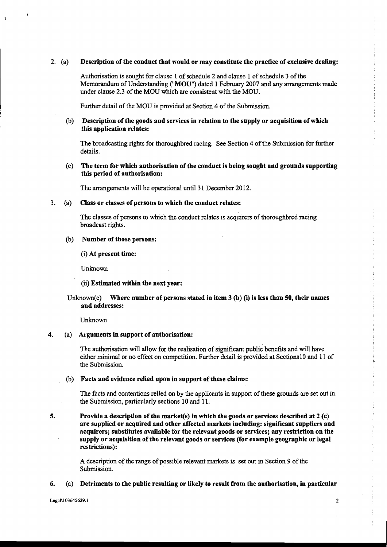# 2. (a) Description of the conduct that would or may constitute the practice of exclusive dealing:

Authorisation is sought for clause 1 of schedule 2 and clause 1 of schedule 3 of the Memorandum of Understanding ("MOUn) dated 1 February 2007 and any **arrangements** made under clause 2.3 of the MOU which are consistent with the MOU.

Further detail of the MOU is provided at Section 4 of the Submission.

# (b) Description of the goods and services in relation to the supply or acquisition of which this application relates:

The broadcasting rights for thoroughbred racing. See Section 4 of the Submission for firher details.

# (c) The term for which authorisation of the conduct is being sought and grounds supporting this period of authorisation:

The arrangements will be operational until 31 December 2012.

## **3.** (a) Class or classes of persons to which the conduct relates:

The classes of persons to which the conduct relates is acquirers of thoroughbred racing broadcast rights.

#### (b) Number of those persons:

(i) At present time:

Unknown

## (ii) Estimated within the next year:

# Unknown(c) Where number of persons stated in item  $3$  (b) (i) is less than 50, their names and addresses:

**Unknown** 

# **4.** (a) Arguments in support of authorisation:

The authorisation will allow for the realisation of significant public benefits and will have either minimal or no effect on competition. Further detail is provided at Sections10 and 11 of the Submission.

# (b) Facts and evidence relied upon in support of these claims:

The facts and contentions relied on by the applicants in support of these grounds are set out in the Submission, particularly sections 10 and 11.

**5.** Provide a description of the market(s) in which the goods or services described at 2 (c) are supplied or acquired and other affected markets including: significant suppliers and acquirers; substitutes available for the relevant goods or services; any restriction on the supply or acquisition of the relevant goods or services (for example geographic or legal restrictions):

> A description of the range of possible relevant markets is set out in Section 9 of the Submission.

#### **6.** (a) Detriments to the public resulting or likely to result from the authorisation, in particular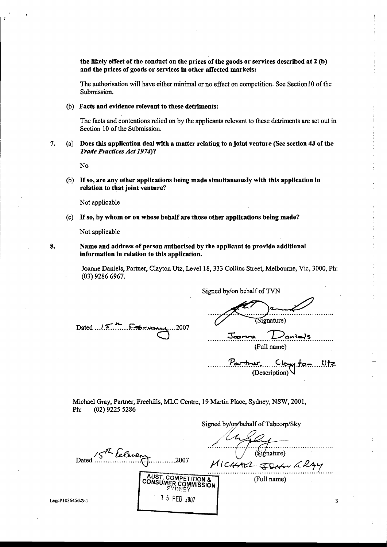the likely effect of the conduct on the prices of the goods or services described at 2 (b) and the prices of goods or services in other affected markets:

The authorisation will have either minimal or no effect on competition. See Section1 **0** of the Submission.

# (6) Facts and evidence relevant to these detriments:

The facts and contentions relied on by the applicants relevant to these detriments are set out in Section 10 of the Submission.

**7.** (a) Does this application deal with a matter relating to a joint ventnre **(See** section **45** of the Trade Practices Act **19 74)?** 

No

(6) If so, are any other applications being made simultaneously with this application **in**  relation to that joint venture?

Not applicable

(c) If so, by whom or on whose behalf are those other applications being made?

Not applicable

**8.** Name and address of person authorised by the applicant to provide additional information in relation to this application.

> Joanne Daniels, Partner, Clayton Utz, Level 18, 333 Collins Street, Melbourne, Vic, 3000, Ph: (03) 9286 6967.

Dated  $15$   $\ldots$   $5$   $\ldots$ ...2007

 $(S<sub>i</sub>$  enature)

Signed by/on behalf of **TVN** 

 $\frac{1}{2}$  $\frac{1}{2}$  $\frac{1}{2}$ 

 $t$ e $\ldots$ .9 $t$ z $\cdot$ (Description)

Michael Gray, Partner, Freehills, MLC Centre, 19 Martin Place, Sydney, NSW, 2001, Ph: (02) 9225 5286

Signed by/@ehalf of Tabcorp/Sky  $\sqrt{\frac{1}{\text{Sigma}}}$ 15th Felicen Dated.  $\ldots$ . 2007  $M$ ICHALL JOHN LRAY AUST. COMPETITION & (Full name) **CONSUMER COMMISSION** יבֿיקחי 1 5 FEB 2007 Legal\103645629.1 3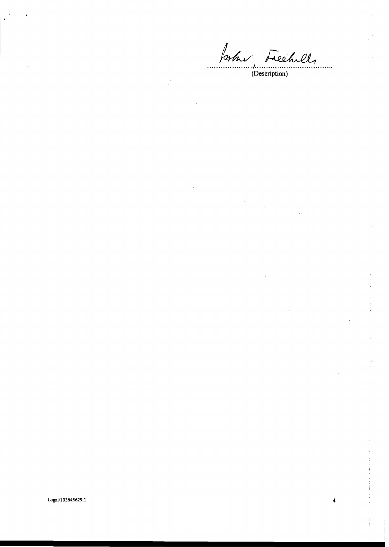Joshu Freehell, . . . .

Legal\103645629.1

 $\overline{\mathbf{4}}$